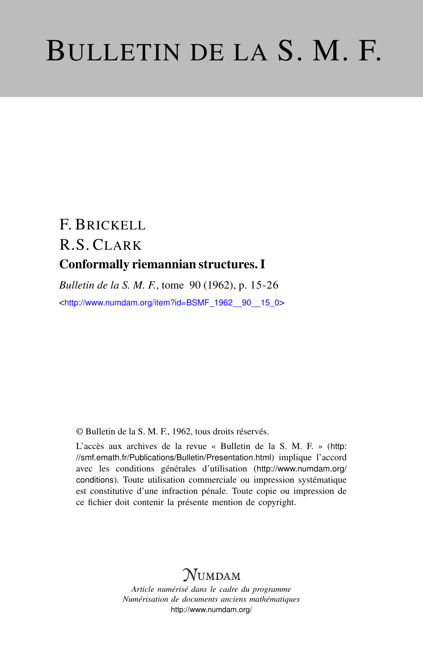# BULLETIN DE LA S. M. F.

# F. BRICKELL R.S. CLARK Conformally riemannian structures. I

*Bulletin de la S. M. F.*, tome 90 (1962), p. 15-26 <[http://www.numdam.org/item?id=BSMF\\_1962\\_\\_90\\_\\_15\\_0](http://www.numdam.org/item?id=BSMF_1962__90__15_0)>

© Bulletin de la S. M. F., 1962, tous droits réservés.

L'accès aux archives de la revue « Bulletin de la S. M. F. » ([http:](http://smf.emath.fr/Publications/Bulletin/Presentation.html) [//smf.emath.fr/Publications/Bulletin/Presentation.html](http://smf.emath.fr/Publications/Bulletin/Presentation.html)) implique l'accord avec les conditions générales d'utilisation ([http://www.numdam.org/](http://www.numdam.org/conditions) [conditions](http://www.numdam.org/conditions)). Toute utilisation commerciale ou impression systématique est constitutive d'une infraction pénale. Toute copie ou impression de ce fichier doit contenir la présente mention de copyright.

# NUMDAM

*Article numérisé dans le cadre du programme Numérisation de documents anciens mathématiques* <http://www.numdam.org/>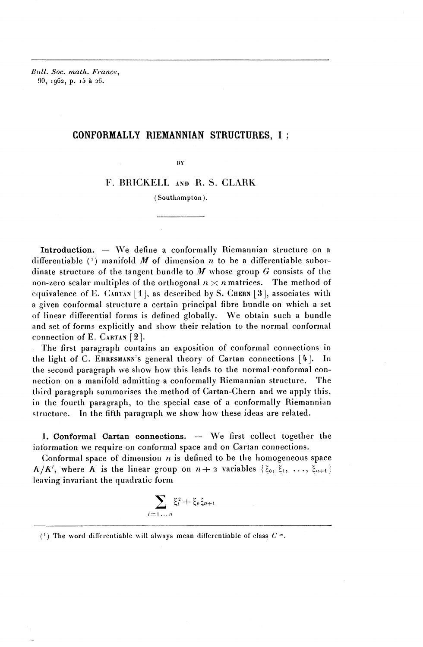*Dull. Soc. math. France^* 90, 1962, p. i5 a 26.

# CONFORMALLY RIEMANNIAN STRUCTURES, I ;

 $\overline{B}Y$ 

## F. RRICKELL AND R. S. CLARK

(Southampton).

Introduction. — We define a conformally Riemannian structure on a differentiable  $(1)$  manifold  $M$  of dimension  $n$  to be a differentiable subordinate structure of the tangent bundle to *M* whose group *G* consists of the non-zero scalar multiples of the orthogonal  $n \times n$  matrices. The method of equivalence of E. CARTAN  $[1]$ , as described by S. CHERN  $[3]$ , associates with a given conformal structure a certain principal fibre bundle on which a set of linear differential forms is defined globally. We obtain such a bundle and set of forms explicitly and show their relation to the normal conformal connection of E. CARTAN [2].

The first paragraph contains an exposition of conformal connections in tlie light of C. EHRESMANN'S general theory of Carlan connections *[h'\.* In the second paragraph we show how this leads to the normal conformal connection on a manifold admitting a conformally Riemannian structure. The third paragraph summarises the method of Cartan-Chern and we apply this, in the fourth paragraph, to the special case of a conformally Riemannian structure. In the fifth paragraph we show how these ideas are related.

1. Conformal Cartan connections. - We first collect together the information we require on conformal space and on Cartan connections.

Conformal space of dimension  $n$  is defined to be the homogeneous space  $K/K'$ , where K is the linear group on  $n+2$  variables  $\{\xi_0, \xi_1, \ldots, \xi_{n+1}\}$ leaving invariant the quadratic form

$$
\sum_{i=1...n} \xi_i^2 + \xi_0 \xi_{n+1}
$$

<sup>(</sup> 1 ) The word din'crentiable will always mean differentiable of class *C* '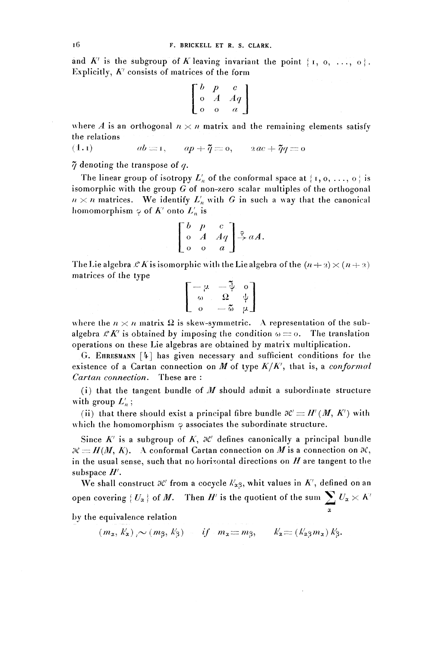and  $K'$  is the subgroup of K leaving invariant the point  $\{1, 0, ..., 0\}$ . Explicitly,  $K^{\prime}$  consists of matrices of the form

$$
\left[\begin{array}{ccc}b&p&c\\o&A&Aq\\o&o&a\end{array}\right]
$$

where *A* is an orthogonal  $n \times n$  matrix and the remaining elements satisfy the relations

(1. i)  $ab = 1, \quad ap + \tilde{q} = 0, \quad 2ac + \tilde{q}q = 0$ 

 $\tilde{\gamma}$  denoting the transpose of q.

The linear group of isotropy  $L'_n$  of the conformal space at {i, o, ..., o } is isomorphic with the group G of non-zero scalar multiples of the orthogonal  $n \times n$  matrices. We identify  $L_n^{\wedge}$  with G in such a way that the canonical homomorphism  $\varphi$  of  $K'$  onto  $L'_n$  is

$$
\begin{bmatrix} b & p & c \\ o & A & Aq \\ o & o & a \end{bmatrix} \stackrel{\phi}{\rightarrow} aA.
$$

The Lie algebra  $\mathcal{L} K$  is isomorphic with the Lie algebra of the  $(n+2) \times (n+3)$ matrices of the type

$$
\left[\begin{matrix} -\mu & -\tilde{\psi} & \mathfrak{o} \\ \mathfrak{o} & \Omega & \psi \\ \mathfrak{o} & -\tilde{\omega} & \mu \end{matrix}\right]
$$

where the  $n \times n$  matrix  $\Omega$  is skew-symmetric. A representation of the subalgebra  $\mathcal{L}K'$  is obtained by imposing the condition  $\omega = 0$ . The translation operations on these Lie algebras are obtained by matrix multiplication.

G. EHRESMANN [4] has given necessary and sufficient conditions for the existence of a Cartan connection on  $M$  of type  $K/K'$ , that is, a *conformal Cartan connection.* These are :

(i) that the tangent bundle of *M* should admit a subordinate structure with group  $L'_{n}$ ;

(ii) that there should exist a principal fibre bundle  $\mathcal{H}' = H' (M, K')$  with which the homomorphism  $\varphi$  associates the subordinate structure.

Since  $K'$  is a subgroup of  $K$ ,  $\mathcal{H}'$  defines canonically a principal bundle  $\mathcal{R} = H(M, K)$ . A conformal Cartan connection on M is a connection on  $\mathcal{R}$ . in the usual sense, such that no horizontal directions on  $H$  are tangent to the subspace *H'' .*

We shall construct  $\mathcal{X}'$  from a cocycle  $k'_{\alpha\beta}$ , whit values in  $K'$ , defined on an open covering  ${U_{\alpha}}$  of *M*. Then *H'* is the quotient of the sum  $\sum U_{\alpha} \times K$ a

by the equivalence relation

 $(m_x, k'_x)$ <sub>1</sub> ~ (*m*<sub>3</sub>, *k*'<sub>3</sub>) *if*  $m_x = m_3$ ,  $k'_x = (k'_x, k'_y)$ ,  $k'_y$ .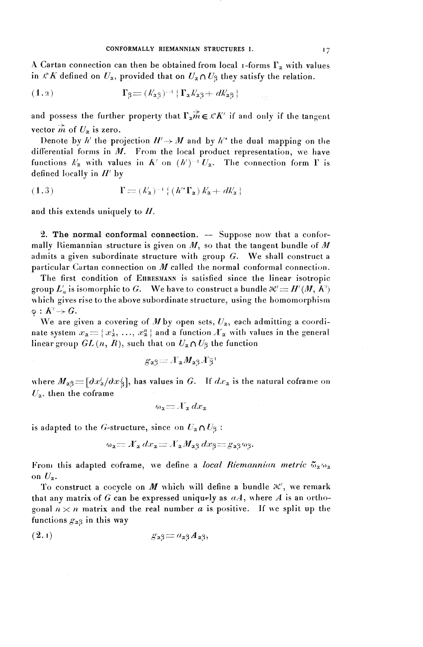A Cartan connection can then be obtained from local  $\mathbf{r}$ -forms  $\mathbf{r}_\alpha$  with values in  $\mathcal{L}K$  defined on  $U_x$ , provided that on  $U_x\cap U_3$  they satisfy the relation.

(1-2 ) rp=:(^3)--'iraA-^4-^a^

and possess the further property that  $\Gamma_n \rightarrow \mathbb{R}^K$  if and only if the tangent vector  $\vec{m}$  of  $U_{\alpha}$  is zero.

Denote by  $h'$  the projection  $H' \rightarrow M$  and by  $h'^*$  the dual mapping on the differential forms in *M.* From the local product representation, we have functions  $k'_\textbf{z}$  with values in  $K'$  on  $(h')^{-1} U_\textbf{z}$ . The connection form  $\Gamma$  is defined locally in  $H'$  by

(1.3) 
$$
\Gamma = (k'_{\mathbf{z}})^{-1} \{ (h'^{*} \Gamma_{\mathbf{z}}) k'_{\mathbf{z}} + dk'_{\mathbf{z}} \}
$$

and this extends uniquely to  $H$ .

2. The normal conformal connection.  $-$  Suppose now that a conformally Riemannian structure is given on *M^* so that the tangent bundle of *M* admits a given subordinate structure with group *G.* **We** shall construct a particular Cartan connection on  $M$  called the normal conformal connection.

The first condition of EHRESMANN is satisfied since the linear isotropic group  $L'_n$  is isomorphic to G. We have to construct a bundle  $\mathcal{R}' = H'(M, K')$ which gives rise to the above subordinate structure, using the homomorphism  $\varphi: K' \rightarrow G$  .

We are given a covering of M by open sets,  $U_{\alpha}$ , each admitting a coordinate system  $x_{\alpha} = \{ x^1_{\alpha}, \ldots, x^n_{\alpha} \}$  and a function  $X_{\alpha}$  with values in the general linear group  $GL(n, R)$ , such that on  $U_{\alpha} \cap U_{\beta}$  the function

$$
g_{\alpha\beta} = X_{\alpha} M_{\alpha\beta} X_{\beta}^{\alpha\beta}
$$

where  $M_{\alpha\beta}$  =  $\left[\frac{\partial x_{\alpha}^i}{\partial x_{\beta}^i}\right]$ , has values in G. If  $dx_{\alpha}$  is the natural coframe on  $U_x$ , then the coframe

$$
\omega_{\mathbf{z}} = \mathcal{X}_{\mathbf{z}} dx_{\mathbf{z}}
$$

is adapted to the *G*-structure, since on  $U_{\alpha} \cap U_{\beta}$ :

$$
\omega_{\mathbf{a}} = X_{\mathbf{a}} dx_{\mathbf{a}} = X_{\mathbf{a}} M_{\mathbf{a}3} dx_{\mathbf{\beta}} = g_{\mathbf{a}3} \omega_{\mathbf{\beta}}.
$$

From this adapted coframe, we define a *local Riemannian metric*  $\mathfrak{S}_{\alpha}\omega_{\alpha}$ on  $U_{\alpha}$ .

To construct a cocycle on  $M$  which will define a bundle  $\partial \mathcal{C}$ , we remark that any matrix of *G* can be expressed uniquely as *aA^* where *A* is an orthogonal  $n \times n$  matrix and the real number *a* is positive. If we split up the functions  $g_{\alpha\beta}$  in this way

$$
(2.1) \t\t\t g_{\alpha\beta} = a_{\alpha\beta} A_{\alpha\beta},
$$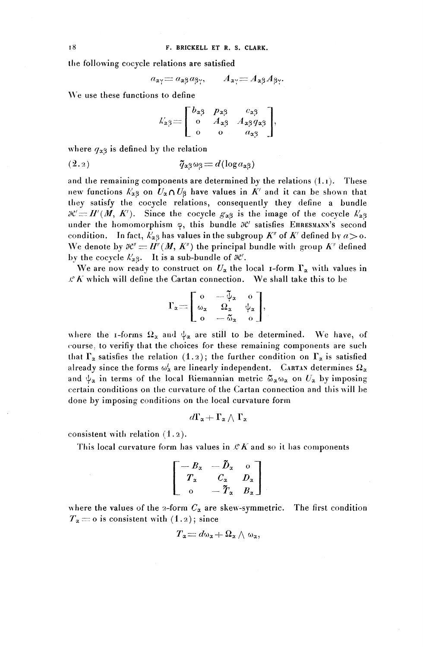the following cocycle relations are satisfied

$$
a_{\alpha\gamma} = a_{\alpha\beta}a_{\beta\gamma}, \qquad A_{\alpha\gamma} = A_{\alpha\beta}A_{\beta\gamma}.
$$

We use these functions to define

$$
k'_{\alpha\beta} = \begin{bmatrix} b_{\alpha\beta} & p_{\alpha\beta} & c_{\alpha\beta} \\ 0 & A_{\alpha\beta} & A_{\alpha\beta}q_{\alpha\beta} \\ 0 & 0 & a_{\alpha\beta} \end{bmatrix},
$$

where  $q_{\alpha3}$  is defined by the relation

(2.2) <?a^==(^(logaa|3)

and the remaining components are determined by the relations  $(1,1)$ . These new functions  $k'_{\alpha\beta}$  on  $U_{\alpha}\cap U_{\beta}$  have values in  $K'$  and it can be shown that they satisfy the cocycle relations, consequently they define a bundle  $\mathcal{H}^{\prime} = H^{\prime} (M, K^{\prime})$ . Since the cocycle  $g_{\alpha\beta}$  is the image of the cocycle  $k_{\alpha\beta}$ under the homomorphism φ, this bundle  $H'$  satisfies EHRESMANN's second condition. In fact,  $k'_{\alpha\beta}$  has values in the subgroup  $K''$  of  $K'$  defined by  $a > 0$ . We denote by  $\mathcal{H} = H^{\prime\prime}(M, K^{\prime\prime})$  the principal bundle with group  $K^{\prime\prime}$  defined by the cocycle  $k'_{\alpha\beta}$ . It is a sub-bundle of  $\partial \mathcal{C}'$ .

We are now ready to construct on  $U_{\alpha}$  the local 1-form  $\Gamma_{\alpha}$  with values in  $\mathcal{L}$  K which will define the Cartan connection. We shall take this to be

$$
\Gamma_{\alpha} = \begin{bmatrix} 0 & -\tilde{\psi}_{\alpha} & 0 \\ \omega_{\alpha} & \Omega_{\alpha} & \psi_{\alpha} \\ 0 & -\tilde{\omega}_{\alpha} & 0 \end{bmatrix},
$$

where the 1-forms  $\Omega_{\alpha}$  and  $\psi_{\alpha}$  are still to be determined. We have, or course, to verifiy that the choices for these remaining components are sucli that  $\Gamma_{\alpha}$  satisfies the relation  $(1, 2)$ ; the further condition on  $\Gamma_{\alpha}$  is satisfied already since the forms  $\omega^i_{\alpha}$  are linearly independent. CARTAN determines  $\Omega_{\alpha}$ and  $\psi_{\alpha}$  in terms of the local Riemannian metric  $\tilde{\omega}_{\alpha}\omega_{\alpha}$  on  $U_{\alpha}$  by imposing certain conditions on the curvature of the Cartan connection and this will be done by imposing conditions on the local curvature form

$$
d\Gamma_{\alpha}+\Gamma_{\alpha}\wedge\Gamma_{\alpha}
$$

consistent with relation (1.2).

This local curvature form has values in  $\mathscr{L}K$  and so it has components<br> $\begin{bmatrix} -B_x & -\tilde{D}_x & 0 \end{bmatrix}$ 

$$
\left[\begin{array}{ccc} -B_x & -\tilde{D}_x & 0 \\ T_x & C_x & D_x \\ 0 & -\tilde{T}_x & B_x \end{array}\right].
$$

where the values of the 2-form  $C_{\alpha}$  are skew-symmetric. The first condition  $T_a = 0$  is consistent with (1.2); since<br>  $T_a = d\omega_a + \Omega_a \wedge \omega_a$ ,

$$
T_{\textbf{a}}\!=\!d\omega_{\textbf{a}}\!+\!\Omega_{\textbf{a}}\wedge\omega_{\textbf{a}},
$$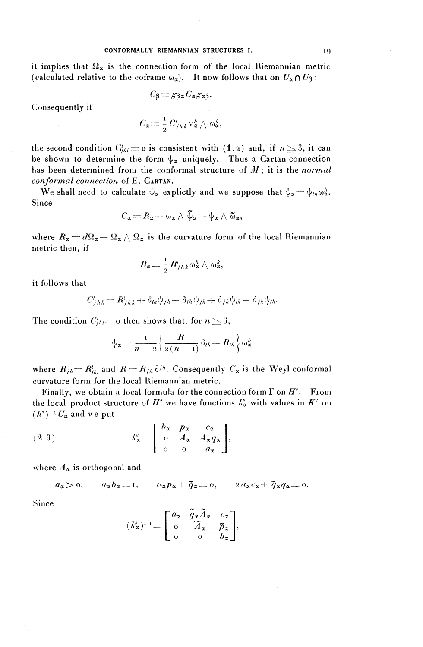#### CONFORMALLY RIEMANNIAN STRUCTURES I. 19

it implies that  $\Omega_x$  is the connection form of the local Riemannian metric (calculated relative to the coframe  $\omega_{\alpha}$ ). It now follows that on  $U_{\alpha} \cap U_3$ :

$$
C_{\beta} \!=\! g_{\beta}{}_{\alpha} C_{\alpha} g_{\alpha}{}_{\beta}.
$$

Consequently if

$$
C_{\mathtt{a}}\! \equiv\! \frac{1}{2}\, C^i_{j\,h\,k}\, \omega_{\mathtt{a}}^h \wedge \, \omega_{\mathtt{a}}^k,
$$

the second condition  $C_{jhi}^i = o$  is consistent with (1.2) and, if  $n \geq 3$ , it can be shown to determine the form  $\psi_{\alpha}$  uniquely. Thus a Cartan connection has been determined from the conformal structure of *M\* it is the *normal con formal connection* of E. CARTAN.

We shall need to calculate  $\psi_{\alpha}$  explictly and we suppose that  $\psi_{\alpha} = \psi_{ih} \omega_{\alpha}^h$ . Since

$$
C_{\alpha}=R_{\alpha}-\omega_{\alpha}\wedge\tilde{\psi}_{\alpha}-\psi_{\alpha}\wedge\tilde{\omega}_{\alpha},
$$

where  $R_{\alpha} = d\Omega_{\alpha} + \Omega_{\alpha} \wedge \Omega_{\alpha}$  is the curvature form of the local Riemannian metric then, if

$$
R_{\rm x} \!=\! \tfrac{1}{2}\,R^i_{j\hbar\,k}\omega^{\hbar}_{\rm x}\wedge\omega^{\hbar}_{\rm x},
$$

it follows that

$$
C_{jhk} = R_{jhk} + \delta_{ik}\psi_{jh} + \delta_{ih}\psi_{jk} + \delta_{jh}\psi_{ik} - \delta_{jk}\psi_{ih}.
$$

The condition 
$$
C'_{jhi}
$$
 = o then shows that, for  $n \ge 3$ ,  
\n
$$
\psi_2 = \frac{1}{n-2} \left\{ \frac{R}{2(n-1)} \delta_{ih} - R_{ih} \right\} \omega_2^h
$$

where  $R_{jh}= R^i_{jhi}$  and  $R=R_{jh} \delta^{jh}$ . Consequently  $C_{\alpha}$  is the Weyl conformal curvature form for the local Riemannian metric.

Finally, we obtain a local formula for the connection form *T* on *H"' .* From the local product structure of  $H^{\prime\prime}$  we have functions  $k^{\prime\prime}_{\alpha}$  with values in  $K^{\prime\prime}$  on  $(h'')^{-1}U_{\alpha}$  and we put

$$
(2.3) \t\t k''_{\alpha} = \begin{bmatrix} b_{\alpha} & p_{\alpha} & c_{\alpha} \\ 0 & A_{\alpha} & A_{\alpha}q_{\alpha} \\ 0 & 0 & a_{\alpha} \end{bmatrix},
$$

where  $A_{\alpha}$  is orthogonal and

$$
a_{\alpha} > 0
$$
,  $a_{\alpha}b_{\alpha} = 1$ ,  $a_{\alpha}p_{\alpha} + \tilde{q}_{\alpha} = 0$ ,  $2a_{\alpha}c_{\alpha} + \tilde{q}_{\alpha}q_{\alpha} = 0$ .

Since

$$
(k'_{\mathbf{z}})^{-1} = \begin{bmatrix} a_{\mathbf{z}} & \tilde{q}_{\mathbf{z}} \tilde{A}_{\mathbf{z}} & c_{\mathbf{z}} \\ 0 & \tilde{A}_{\mathbf{z}} & \tilde{p}_{\mathbf{z}} \\ 0 & 0 & b_{\mathbf{z}} \end{bmatrix},
$$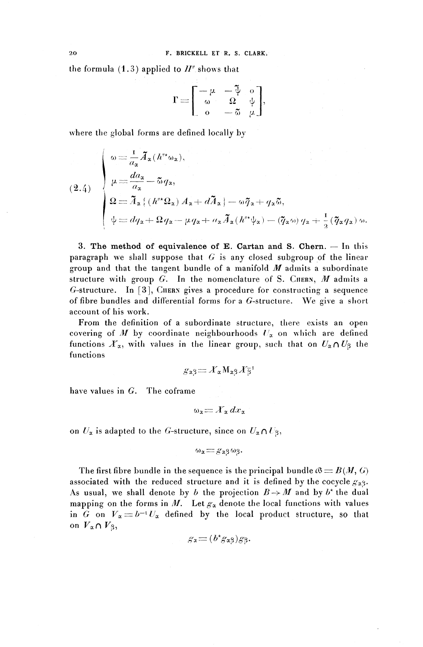the formula  $(1.3)$  applied to  $H^{\prime\prime}$  shows that

$$
\Gamma = \begin{bmatrix} -\mu & -\tilde{\psi} & 0 \\ \omega & \Omega & \psi \\ 0 & -\tilde{\omega} & \mu \end{bmatrix},
$$

where the global forms are defined locally by

(2.4)  
\n
$$
\begin{cases}\n\omega = \frac{1}{a_{\alpha}} \tilde{A}_{\alpha} (h''^* \omega_{\alpha}), \\
\mu = \frac{da_{\alpha}}{a_{\alpha}} - \tilde{\omega} q_{\alpha}, \\
\Omega = \tilde{A}_{\alpha} \{ (h''^* \Omega_{\alpha}) A_{\alpha} + d \tilde{A}_{\alpha} \} - \omega \tilde{q}_{\alpha} + q_{\alpha} \tilde{\omega}, \\
\psi = dq_{\alpha} + \Omega q_{\alpha} - \mu q_{\alpha} + a_{\alpha} \tilde{A}_{\alpha} (h''^* \psi_{\alpha}) - (\tilde{q}_{\alpha} \omega) q_{\alpha} + \frac{1}{2} (\tilde{q}_{\alpha} q_{\alpha}) \omega.\n\end{cases}
$$

3. The method of equivalence of E. Cartan and S. Chern. — In this paragraph we shall suppose that  $G$  is any closed subgroup of the linear group and that the tangent bundle of a manifold *M* admits a subordinate structure with group  $G$ . In the nomenclature of S. CHERN,  $M$  admits a  $G$ -structure. In [3], CIIERN gives a procedure for constructing a sequence of fibre bundles and differential forms for a  $G$ -structure. We give a short account of his work.

From the definition of a subordinate structure, there exists an open covering of  $M$  by coordinate neighbourhoods  $U_x$  on which are defined functions  $X_\alpha$ , with values in the linear group, such that on  $U_\alpha \cap U_\beta$  the functions

$$
g_{\alpha\beta}\!=\!X_{\alpha}\texttt{M}_{\alpha\beta}X_{\beta}^{-1}
$$

have values in *G.* The coframe

$$
\omega_{\mathbf{z}} = X_{\mathbf{z}} dx_{\mathbf{z}}
$$

on  $U_x$  is adapted to the G-structure, since on  $U_x \cap U_\beta$ ,

$$
\omega_{\alpha} = g_{\alpha\beta}\omega_{\beta}.
$$

The first fibre bundle in the sequence is the principal bundle  $\mathcal{B} = B(M, G)$ associated with the reduced structure and it is defined by the cocycle  $g_{\alpha\beta}$ . As usual, we shall denote by *b* the projection  $B \rightarrow M$  and by *b*<sup>\*</sup> the du<br>mapping on the forms in *M*. Let  $g_x$  denote the local functions with value mapping on the forms in M. Let  $g_{\alpha}$  denote the local functions with values<br>in G on  $V_{\alpha} = b^{-1}U_{\alpha}$  defined by the local product structure, so that on  $V_{\alpha} \cap V_{\beta}$ ,

$$
g_{\mathbf{z}} = (b^{\star} g_{\mathbf{z}} g) g_{\mathbf{z}}.
$$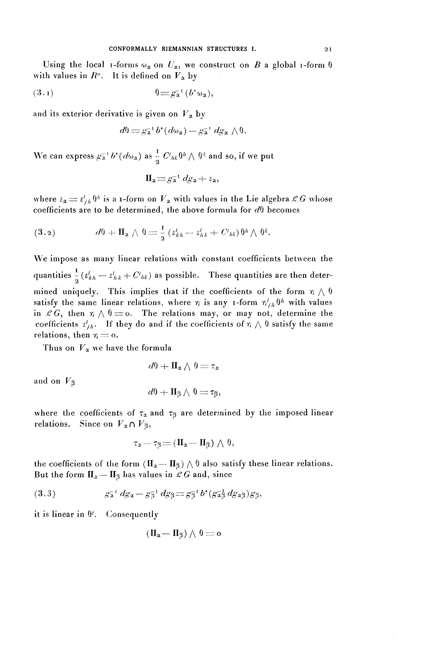### CONFORMALLY RIEMANNIAN STRUCTURES I. 21

Using the local *i*-forms  $\omega_x$  on  $U_x$ , we construct on *B* a global *i*-form  $\theta$ with values in  $R^n$ . It is defined on  $V_\alpha$  by

( 3tl) O^-a<sup>1</sup> ^^),

and its exterior derivative is given on  $V_{\alpha}$  by

$$
d\theta = g_{\mathbf{a}}^{-1} b^{\star} (d\omega_{\mathbf{a}}) - g_{\mathbf{a}}^{-1} dg_{\mathbf{a}} \wedge \theta.
$$

We can express  $g_{\mathbf{x}}^{-1} b^*(d\omega_{\mathbf{x}})$  as  $\frac{1}{2}$  $\frac{1}{\tau}$   $C^{i}{}_{hk}\theta^{h} \wedge \theta^{k}$  and so, if we put

$$
\Pi_{\alpha} = g_{\alpha}^{-1} dg_{\alpha} + \varepsilon_{\alpha},
$$

where  $\varepsilon_{\alpha} \equiv \varepsilon'_{ih} \theta^h$  is a 1-form on  $V_{\alpha}$  with values in the Lie algebra  $\mathcal{L} G$  whose coefficients are to be determined, the above formula for  $d\theta$  becomes where  $\epsilon_{\alpha} = \epsilon_{j,h}^{i} \theta^{h}$  is a 1-form on  $V_{\alpha}$  with values in the coefficients are to be determined, the above formula f<br>
(3.2)  $d\theta + \mathbf{II}_{\alpha} \wedge \theta = \frac{1}{2} (\epsilon_{kh}^{i} - \epsilon_{hk}^{i} + C_{hk}) \theta$ 

(3.2) 
$$
d\theta + \mathbf{II}_{\mathbf{x}} \wedge \theta = \frac{1}{2} \left( \varepsilon_{kh}^{i} - \varepsilon_{hk}^{i} + C_{hk} \right) \theta^{h} \wedge \theta^{k}.
$$

We impose as many linear relations with constant coefficients between the quantities  $\frac{1}{a}$  ( $\varepsilon^{i}_{kh} - \varepsilon^{i}_{hk} + C^{i}_{hk}$ ) as possible. These quantities are then determined uniquely. This implies that if the coefficients of the form  $\eta \wedge \theta$ satisfy the same linear relations, where  $\eta$  is any *1*-form  $\eta^i_{ik}$   $\theta^h$  with values in  $\mathcal{L}G$ , then  $\eta \wedge \theta = 0$ . The relations may, or may not, determine the coefficients  $\varepsilon^i_{jh}$ . If they do and if the coefficients of  $\eta \wedge \theta$  satisfy the same relations, then  $\eta = 0$ .

Thus on  $V_{\alpha}$  we have the formula

$$
d\theta + \Pi_{\alpha} \wedge \theta = \tau_{\alpha}
$$

and on *V^*

$$
d\theta + \mathbf{II}_{\beta} \wedge \theta = \tau_{\beta},
$$

where the coefficients of  $\tau_{\alpha}$  and  $\tau_{\beta}$  are determined by the imposed linear relations. Since on  $V_{\alpha} \cap V_{\beta}$ ,

$$
\tau_{\alpha} = \tau_{\beta} = (\Pi_{\alpha} - \Pi_{\beta}) \wedge \theta,
$$

the coefficients of the form  $(\mathbf{I}_{\alpha}-\mathbf{I}_{\beta})\wedge \theta$  also satisfy these linear relations. But the form  $\Pi_z - \Pi_\beta$  has values in  $\mathcal{L}G$  and, since

(3.3) 
$$
g_{\mathbf{x}}^{-1} dg_{\mathbf{x}} - g_{\overline{3}}^{-1} dg_{\overline{3}} = g_{\overline{3}}^{-1} b^*(g_{\mathbf{x}}^{-1} dg_{\mathbf{x}} g) g_{\overline{3}},
$$

it is linear in  $\theta^i$ . Consequently

$$
(\Pi_{\alpha} - \Pi_{\beta}) \wedge \theta = o
$$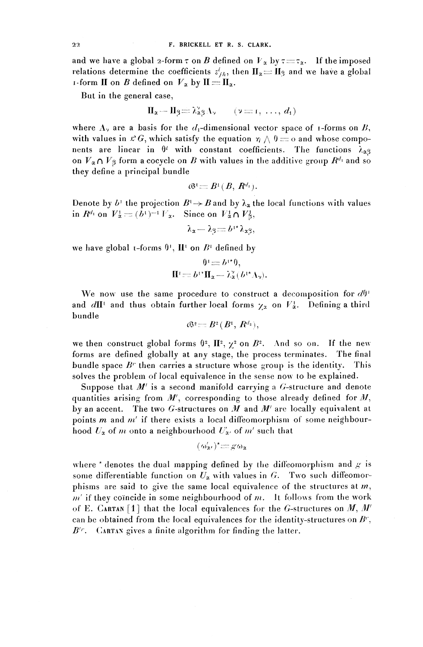and we have a global 2-form  $\tau$  on *B* defined on  $V_x$  by  $\tau = \tau_x$ . If the imposed relations determine the coefficients  $z<sub>ih</sub>$ , then  $\mathbf{II}_{\alpha}=\mathbf{II}_{\beta}$  and we have a global **i**-form **II** on *B* defined on  $V_x$  by  $\mathbf{II} = \mathbf{II}_x$ .

But in the general case,

$$
\Pi_{\mathbf{x}} - \Pi_{\beta} = \lambda_{\mathbf{x}\beta}^{\mathbf{y}} \Lambda_{\mathbf{y}} \qquad (\mathbf{y} = \mathbf{r}, \ldots, d_{1})
$$

where  $\Lambda_{\nu}$  are a basis for the  $d_1$ -dimensional vector space of *i*-forms on B, with values in  $\mathcal{L} G$ , which satisfy the equation  $\eta \wedge 0 = 0$  and whose components are linear in  $\theta^i$  with constant coefficients. The functions  $\lambda_{\alpha\beta}$ on  $V_{\alpha} \cap V_{\beta}$  form a cocycle on *B* with values in the additive group  $R^{d_1}$  and so they define a principal bundle

$$
\mathcal{B}^1 = B^1(B, R^{d_1}).
$$

Denote by  $b^{\dagger}$  the projection  $B^{\dagger} \rightarrow B$  and by  $\lambda_{\alpha}$  the local functions with values in  $R^{d_1}$  on  $V^1_{\alpha} = (b^1)^{-1} V_{\alpha}$ . Since on  $V^1_{\alpha} \cap V^1_{\beta}$ .

 $\lambda_{\alpha}$  -  $\lambda_{\beta}$  =  $b^{1*}$   $\lambda_{\alpha}$ <sup>o</sup>;

we have global  $t$ -forms  $\theta$ <sup>1</sup>,  $\mathbf{H}^t$  on  $B^t$  defined by

$$
\theta^1 = b^{1*}\theta,
$$
  

$$
\Pi^1 = b^{1*}\Pi_x - \lambda_x^2(b^{1*}\Lambda_y).
$$

We now use the same procedure to construct a decomposition for  $d\theta'$ and  $d\mathbf{I}^{\perp}$  and thus obtain further local forms  $\gamma_x$  on  $V_x^{\perp}$ . Defining a third bundle

$$
\mathfrak{G}^{\frac{1}{2}}\mathop{\equiv}\limits B^{\frac{1}{2}}(B^{\frac{1}{2}},R^{d_{\frac{1}{2}}}),
$$

we then construct global forms  $\theta^2$ ,  $\mathbb{I}^2$ ,  $\chi^2$  on  $B^2$ . And so on. If the new forms are defined globally at any stage, the process terminates. The final bundle space *B'* then carries a structure whose group is the identity. This solves the problem of local equivalence in the sense now to be explained.

Suppose that  $M'$  is a second manifold carrying a  $G$ -structure and denote quantities arising from *M'\* corresponding to those already defined for *M ^* by an accent. The two  $G$ -structures on  $M$  and  $M'$  are locally equivalent at points *m* and *m'* if there exists a local diffeomorphism of some neighbourhood  $U_x$  of *m* onto a neighbourhood  $U'_x$ , of *m'* such that

$$
(\omega'_{\mathbf{z}'})^*\!\!=\!g\omega_{\mathbf{z}}
$$

where  $*$  denotes the dual mapping defined by the diffeomorphism and  $g$  is some differentiable function on  $U_x$  with values in G. Two such diffeomorphisms are said to give the same local equivalence of the structures at  $m$ ,  $m'$  if they coincide in some neighbourhood of  $m$ . It follows from the work of E. CARTAN [1] that the local equivalences for the G-structures on  $M$ ,  $M'$ can be obtained from the local equivalences for the identity-structures on *B'* ,  $B'^{r}$ . CARTAN gives a finite algorithm for finding the latter.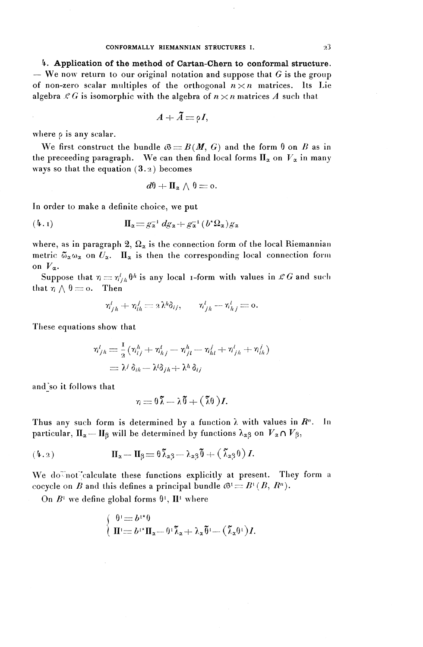#### $\sim 23$

*h.* Application of the method of Cartan-Chern to conformal structure. — We now return to our original notation and suppose that *G* is the group of non-zero scalar multiples of the orthogonal  $n \times n$  matrices. Its Lie algebra  $\mathcal{L} G$  is isomorphic with the algebra of  $n \times n$  matrices A such that

$$
A+\tilde{A}=\rho I,
$$

where  $\rho$  is any scalar.

We first construct the bundle  $\mathcal{B} = B(M, G)$  and the form 0 on *B* as in the preceeding paragraph. We can then find local forms  $\Pi_x$  on  $V_x$  in many ways so that the equation  $(3.2)$  becomes

$$
d\theta + \Pi_{\alpha} \wedge \theta = 0.
$$

In order to make a definite choice, we put

(4.1) 
$$
\Pi_{\alpha} = g_{\alpha}^{-1} dg_{\alpha} + g_{\alpha}^{-1} (b^* \Omega_{\alpha}) g_{\alpha}
$$

where, as in paragraph 2,  $\Omega_{\alpha}$  is the connection form of the local Riemannian metric  $\tilde{\omega}_{\alpha}\omega_{\alpha}$  on  $U_{\alpha}$ .  $\Pi_{\alpha}$  is then the corresponding local connection form on  $V_\alpha$ .

Suppose that  $\eta = \eta_{j,h}^i \theta^h$  is any local 1-form with values in  $\mathcal{L}G$  and such that  $\eta \wedge \theta = o$ . Then

Then  
\n
$$
\eta_{jh}^i + \eta_{ih}^j = 2\lambda^h \delta_{ij}, \qquad \eta_{jh}^i - \eta_{hj}^i = 0.
$$

These **equations show that**

s show that  
\n
$$
\begin{aligned}\nn'_{j,h} &= \frac{1}{2} \left( \eta^h_{ij} + \eta^i_{hj} - \eta^h_{jl} - \eta^j_{hl} + \eta^i_{jh} + \eta^j_{ih} \right) \\
&= \lambda^j \, \delta_{ih} - \lambda^k \delta_{jl} + \lambda^h \, \delta_{ij}\n\end{aligned}
$$

and so it follows that

$$
\eta\,{=}\, \theta\,\tilde{\lambda}\,{-}\,\lambda\,\tilde{\theta}\,{+}\,(\,\tilde{\lambda}\theta\,)I.
$$

Thus any such form is determined by a function  $\lambda$  with values in  $R<sup>n</sup>$ . In particular,  $\Pi_{\alpha}$  —  $\Pi_{\beta}$  will be determined by functions  $\lambda_{\alpha\beta}$  on  $\mathit{V}_{\alpha}\cap\mathit{V}_{\beta},$ 

$$
(4.2) \t\t \t\t \mathbf{II}_{\mathbf{z}} - \mathbf{II}_{\mathbf{\beta}} \doteq \theta \, \mathbf{\tilde{\lambda}}_{\mathbf{z}\mathbf{\beta}} - \mathbf{\lambda}_{\mathbf{z}\mathbf{\beta}} \mathbf{\tilde{\theta}} + (\, \mathbf{\tilde{\lambda}}_{\mathbf{z}\mathbf{\beta}} \theta) \, I.
$$

We do not calculate these functions explicitly at present. They form a we do not calculate these functions explicitly at present. The cocycle on B and this defines a principal bundle  $\mathcal{B}^1 \equiv B^1(B, R^n)$ .

On  $B^1$  we define global forms  $\theta^1$ ,  $\mathbf{II}^1$  where

$$
\begin{cases} \theta! = b^{1*} \theta \\ \Pi^{\prime} = b^{1*} \Pi_{\alpha} - \theta^{\dagger} \widetilde{\lambda}_{\alpha} + \lambda_{\alpha} \widetilde{\theta}^{\dagger} - (\widetilde{\lambda}_{\alpha} \theta^{\dagger}) I. \end{cases}
$$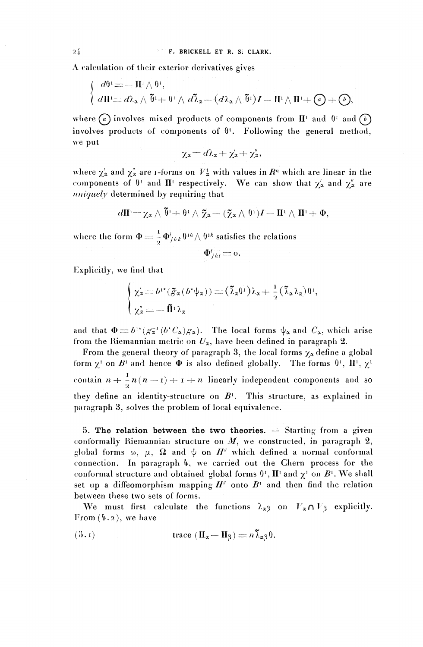A calculation of their exterior derivatives gives

$$
\begin{cases}\n d^{0} = -\Pi^{1} \wedge \theta^{1}, \\
 d\Pi^{1} = d\lambda_{\alpha} \wedge \tilde{\theta}^{1} + \theta^{1} \wedge d\tilde{\lambda}_{\alpha} - (d\lambda_{\alpha} \wedge \tilde{\theta}^{1})I - \Pi^{1} \wedge \Pi^{1} + \mathcal{O} + \mathcal{O},\n\end{cases}
$$

 $(d\mathbf{H}) = dL_{\mathbf{x}} \wedge \mathbf{U} + \mathbf{U}' \wedge dL_{\mathbf{x}} - (dL_{\mathbf{x}} \wedge \mathbf{U}')I - \mathbf{H}' \wedge \mathbf{H}' + (\mathbf{U} + \mathbf{U}),$ <br>where *(a)* involves mixed products of components from  $\mathbf{H}'$  and  $\mathbf{U}'$  and  $(\mathbf{U})$ involves products of components of  $\theta$ <sup>1</sup>. Following the general method

$$
\chi_{\alpha}=d\lambda_{\alpha}+\chi_{\alpha}'+\chi_{\alpha}''
$$

where  $\gamma'_\alpha$  and  $\gamma''_\alpha$  are i-forms on  $V^1_\alpha$  with values in  $R^n$  which are linear in the where  $\chi'_\alpha$  and  $\chi''_\alpha$  are 1-forms on  $V^1_\alpha$  with values in  $R^n$  which are linear in the components of  $0^+$  and  $\Pi^1$  respectively. We can show that  $\chi'_\alpha$  and  $\chi''_\alpha$  are components of  $\theta^t$  and  $\Pi^t$  respectively. We can show that  $\chi'_\alpha$  and  $\chi''_\alpha$  are *uniquely* determined by requiring that

$$
d\Pi = \chi_{\alpha} \wedge \widetilde{\theta} + \theta \wedge \widetilde{\chi}_{\alpha} + (\widetilde{\chi}_{\alpha} \wedge \theta^{\dagger})I - \Pi^{\dagger} \wedge \Pi^{\dagger} + \Phi,
$$

where the form  $\Phi = \frac{1}{2} \Phi_{jhk}^i \theta^{1h} \wedge \theta^{1k}$  satisfies the relations

$$
\Phi^i_{jhi} = 0.
$$

Explicitly, we find that

$$
\begin{cases} \chi'_\alpha = b^{\dagger \ast} (\tilde{g}_\alpha (b^{\ast} \psi_\alpha)) = (\tilde{\lambda}_\alpha 0^{\dagger}) \lambda_\alpha + \frac{1}{2} (\tilde{\lambda}_\alpha \lambda_\alpha) 0^{\dagger}, \\ \chi''_\alpha = - \tilde{\Pi}^{\dagger} \lambda_\alpha \end{cases}
$$

and that  $\Phi = b^{1*} (g_{\alpha}^{-1} (b^* C_{\alpha}) g_{\alpha})$ . The local forms  $\psi_{\alpha}$  and  $C_{\alpha}$ , which arise from the Riemannian metric on  $U_\alpha$ , have been defined in paragraph 2.<br>From the general theory of paragraph 3, the local forms  $\gamma$  define a glob

form  $\mathbf{r}$  on  $R^1$  and hence  $\Phi$  is also defined globally. The forms  $\mathbf{r}$ ,  $\mathbf{H}^1$ From the general theory of paragraph 3, the local forms  $\chi_{\alpha}$  define a global contain  $n + \frac{1}{2}n(n-1) + i+n$  linearly independent components and so they define an identity-structure on  $R<sup>1</sup>$ . This structure, as explained paragraph **3,** solves the problem of local equivalence.

5. The relation between the two theories.  $-$  Starting from a given conformally Riemannian structure on  $M$ , we constructed, in paragraph clobal forms  $\omega$ ,  $\mu$ ,  $\Omega$  and  $\psi$  on  $H^{\prime}$  which defined a normal conform global forms  $\omega$ ,  $\mu$ ,  $\Omega$  and  $\psi$  on  $H^{\prime\prime}$  which defined a normal conformal connection. In paragraph 4, we carried out the Chern process for the connection. In paragraph 4, we carried out the Chern process for t<br>conformal structure and obtained global forms  $\theta^1$ ,  $\Pi^1$  and  $\chi^1$  on  $B^1$ . We sh<br>set up a diffeomorphism mapping  $H^r$  onto  $B^1$  and then find the set up a diffeomorphism mapping  $H^{\prime\prime}$  onto  $B^1$  and then find the relation between these two sets of forms.

We must first calculate the functions  $\lambda_{\alpha\beta}$  on  $V_{\alpha} \cap V_{\beta}$  explicit

(5.1) 
$$
\operatorname{trace} (\Pi_{\alpha} - \Pi_{\beta}) = n \widetilde{\lambda}_{\alpha \beta} \theta.
$$

24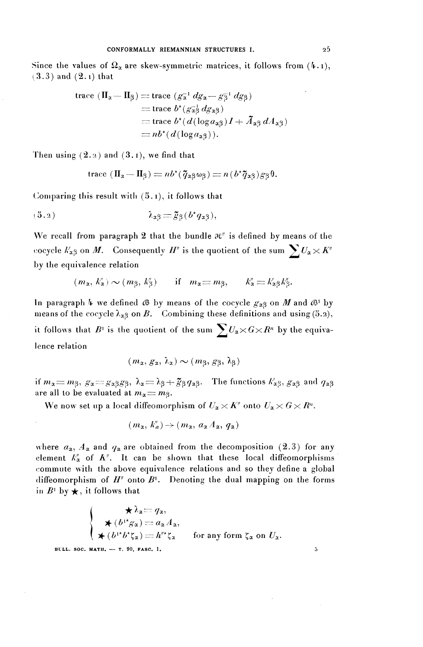Since the values of  $\Omega_{\alpha}$  are skew-symmetric matrices, it follows from ( $\mu$ .1), (3.3 ) **and** (2.i) **that**

trace 
$$
(\Pi_{\alpha} - \Pi_{\beta})
$$
 = trace  $(g_{\alpha}^{-1} dg_{\alpha} - g_{\beta}^{-1} dg_{\beta})$   
\n= trace  $b^*(g_{\alpha\beta}^{-1} dg_{\alpha\beta})$   
\n= trace  $b^*(d(\log a_{\alpha\beta})I + \tilde{A}_{\alpha\beta} dA_{\alpha\beta})$   
\n=  $nb^*(d(\log a_{\alpha\beta}))$ .

Then using  $(2.2)$  and  $(3.1)$ , we find that

trace 
$$
(\Pi_{\alpha} - \Pi_{\beta}) = nb^*(\tilde{q}_{\alpha\beta}\omega_{\beta}) = n(b^*\tilde{q}_{\alpha\beta})g_{\beta}\theta
$$
.

Comparing this result with  $(5.1)$ , it follows that

$$
\lambda_{\alpha\beta} = \tilde{g}_{\beta}(b^{\star}q_{\alpha\beta}),
$$

We recall from paragraph 2 that the bundle  $\mathcal{H}$  is defined by means of the cocycle  $k'_{\alpha\beta}$  on *M*. Consequently *H*<sup>*"*</sup> is the quotient of the sum  $\sum U_{\alpha} \times K''$ by the equivalence relation

$$
(m_{\alpha}, k_{\alpha}') \sim (m_{\beta}, k_{\beta}')
$$
 if  $m_{\alpha} = m_{\beta}, \qquad k_{\alpha}'' = k_{\alpha\beta}' k_{\beta}''.$ 

In paragraph 4 we defined  $\mathcal{B}$  by means of the cocycle  $g_{\gamma 2}$  on M and  $\mathcal{B}^1$  b means of the cocycle  $\lambda_{\alpha\beta}$  on *B*. Combining these definitions and using (5.2), it follows that  $B^1$  is the quotient of the sum  $\sum U_x \times G \times R^n$  by the equivalence relation

$$
(m_{\alpha}, g_{\alpha}, \lambda_{\alpha}) \sim (m_{\beta}, g_{\beta}, \lambda_{\beta})
$$

if  $m_{\alpha} = m_{\beta}$ ,  $g_{\alpha} = g_{\alpha\beta}g_{\beta}$ ,  $\lambda_{\alpha} = \lambda_{\beta} + \tilde{g}_{\beta} q_{\alpha\beta}$ . The functions  $k'_{\alpha\beta}$ ,  $g_{\alpha\beta}$  and  $q_{\alpha}$ are all to be evaluated at  $m_\alpha = m_\beta$ .

We now set up a local diffeomorphism of  $U_{\alpha}\times K''$  onto  $U_{\alpha}\times G\times R^{n}$ .

$$
(m_{\mathbf{z}}, k''_{\mathbf{a}}) \rightarrow (m_{\mathbf{z}}, a_{\mathbf{z}} A_{\mathbf{a}}, q_{\mathbf{z}})
$$

where  $a_{\alpha}$ ,  $A_{\alpha}$  and  $q_{\alpha}$  are obtained from the decomposition (2.3) for any element  $k''_x$  of  $K''$ . It can be shown that these local diffeomorphisms commute with the above equivalence relations and so they define a global diffeomorphism of  $H^{\prime\prime}$  onto  $B^1$ . Denoting the dual mapping on the form diffeomorphism of  $H^*$  or<br>in  $B^1$  by  $\rightarrow$  it follows the

$$
\star \lambda_x = q_x,
$$
\n
$$
\star (b^{1*}g_x) = a_x A_x,
$$
\n
$$
\star (b^{1*}g_x) = h^{n*}\zeta_x \quad \text{for any form } \zeta_x \text{ on } U_x.
$$

**BLLL. SOC. MATH. — T. 90, FASC. 1.**

 $\overline{\mathbf{5}}$